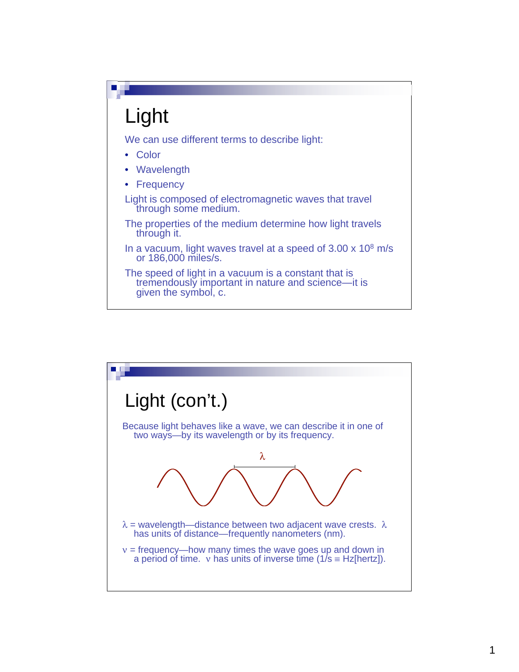

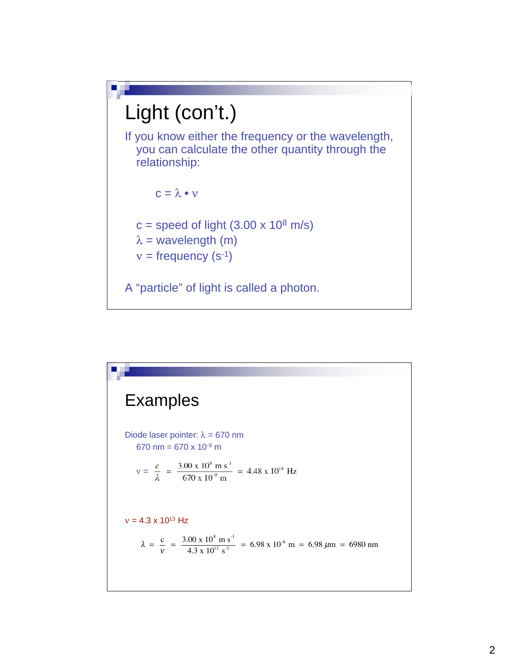

| <b>Examples</b>                                                                                                                                                               |
|-------------------------------------------------------------------------------------------------------------------------------------------------------------------------------|
| Diode laser pointer: $\lambda = 670$ nm<br>670 nm = 670 x 10 <sup>-9</sup> m                                                                                                  |
| $v = \frac{c}{\lambda} = \frac{3.00 \times 10^8 \text{ m s}^{-1}}{670 \times 10^9 \text{ m}} = 4.48 \times 10^{14} \text{ Hz}$                                                |
| $v = 4.3 \times 10^{13}$ Hz                                                                                                                                                   |
| $\lambda = \frac{c}{v} = \frac{3.00 \times 10^8 \text{ m s}^{-1}}{4.3 \times 10^{13} \text{ s}^{-1}} = 6.98 \times 10^{-6} \text{ m} = 6.98 \ \mu \text{m} = 6980 \text{ nm}$ |
|                                                                                                                                                                               |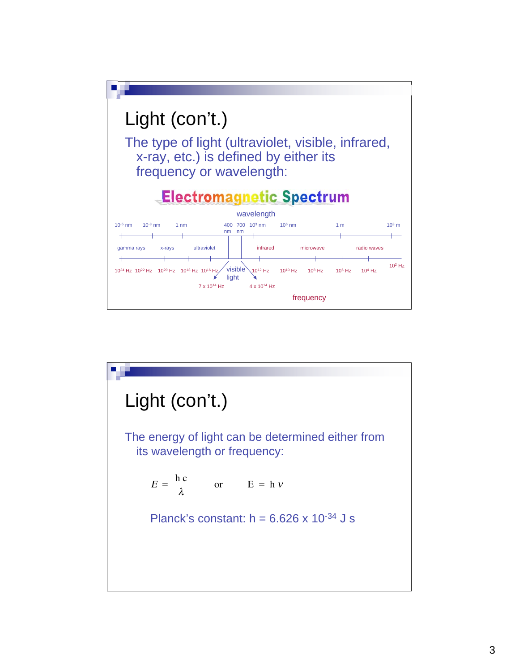

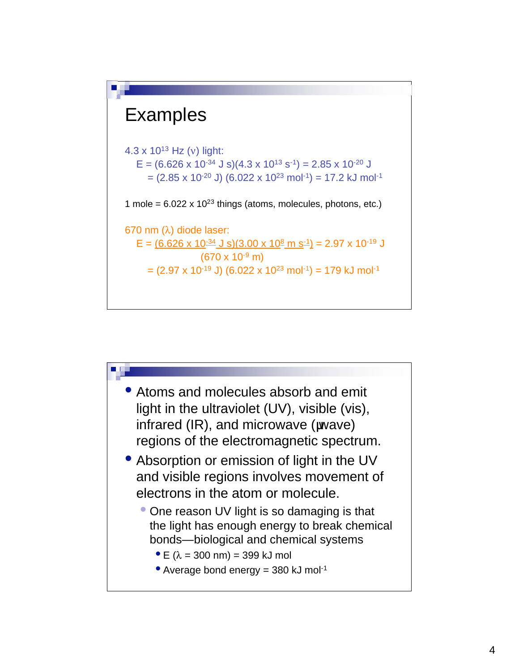

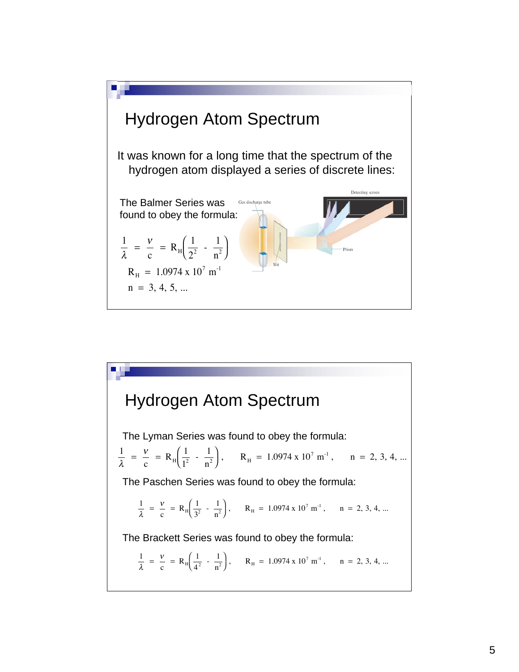

Hydrogen Atom Spectrum  $\frac{1}{\lambda}$  =  $\frac{v}{c}$  = R<sub>H</sub> $\left(\frac{1}{4^2} - \frac{1}{n^2}\right)$  $\sqrt{2}$ ⎝  $\Big), \qquad \mathbf{R}_{\mathrm{H}} = 1.0974 \times 10^7 \mathrm{m}^{-1}, \qquad \mathrm{n} = 2, 3, 4, ...$ The Lyman Series was found to obey the formula:  $\frac{1}{\lambda}$  =  $\frac{v}{c}$  = R<sub>H</sub> $\left(\frac{1}{1^2} - \frac{1}{n^2}\right)$  $\sqrt{2}$ ⎝  $\Big), \quad R_H = 1.0974 \times 10^7 \text{ m}^{-1}, \quad n = 2, 3, 4, ...$  $\frac{1}{\lambda}$  =  $\frac{v}{c}$  = R<sub>H</sub> $\left(\frac{1}{3^2} - \frac{1}{n^2}\right)$  $\sqrt{2}$ ⎝  $\Big), \qquad \mathcal{R}_{\rm H} = 1.0974 \times 10^7 \; \text{m}^{-1}, \qquad \text{n} = 2, 3, 4, ...$ The Paschen Series was found to obey the formula: The Brackett Series was found to obey the formula: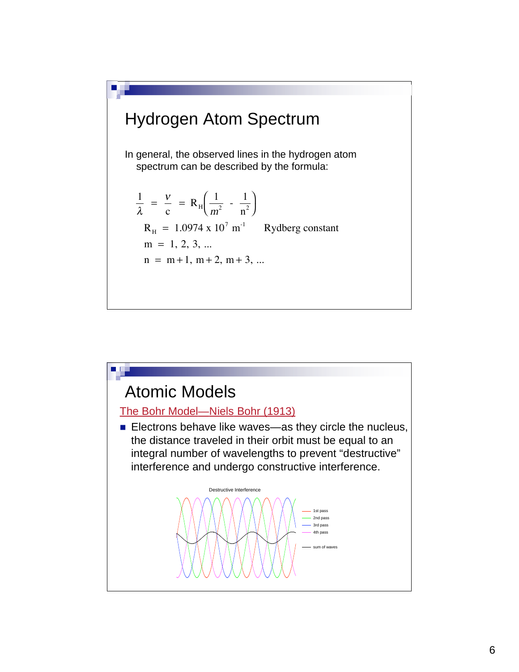

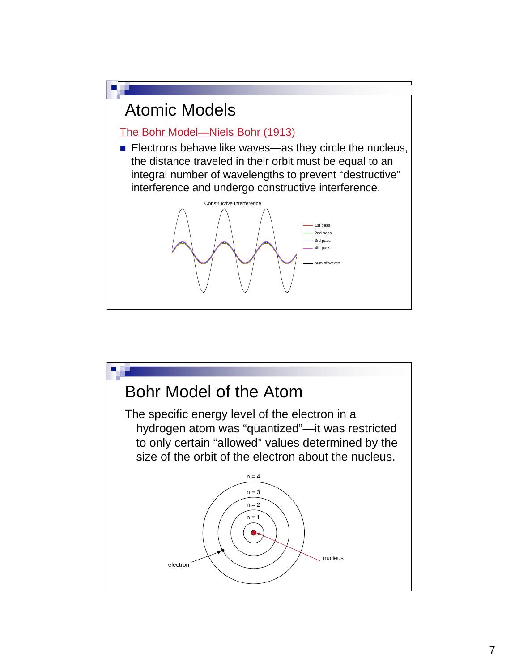

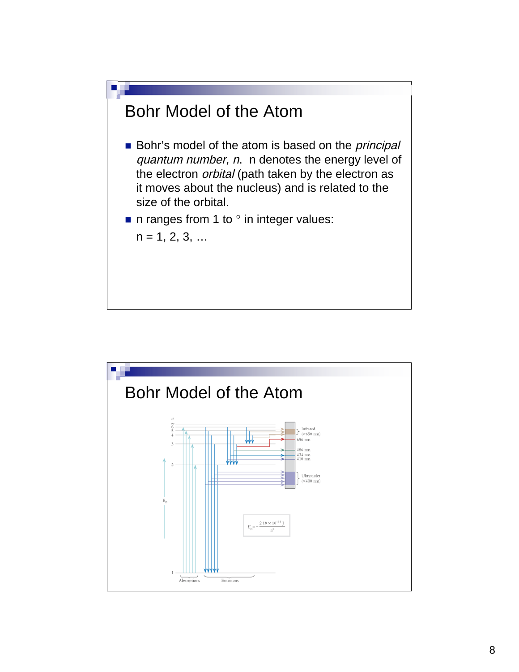

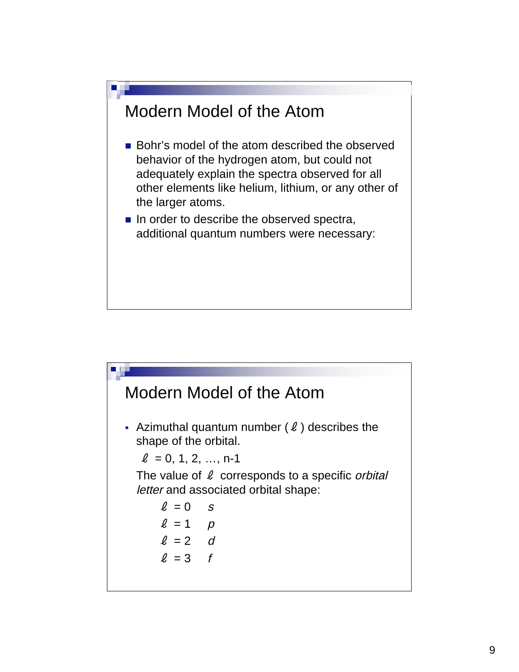

# Modern Model of the Atom - Azimuthal quantum number  $(ℓ)$  describes the shape of the orbital.  $l = 0, 1, 2, ..., n-1$ The value of  $\ell$  corresponds to a specific *orbital* letter and associated orbital shape:  $l = 0$  s  $l = 1$  p  $l = 2$  d  $l = 3$  f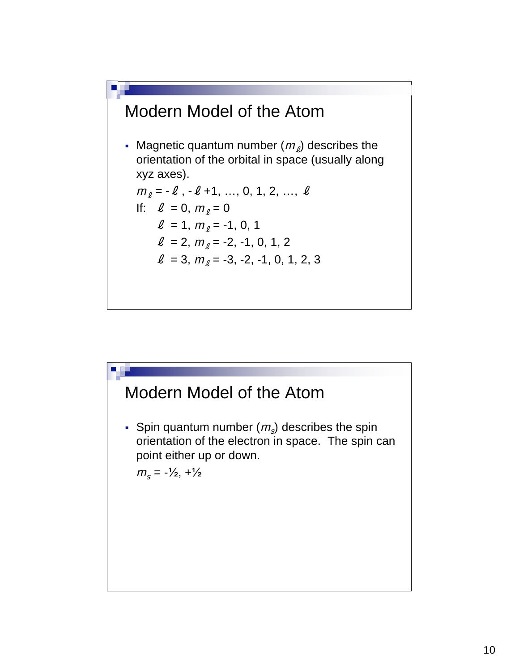

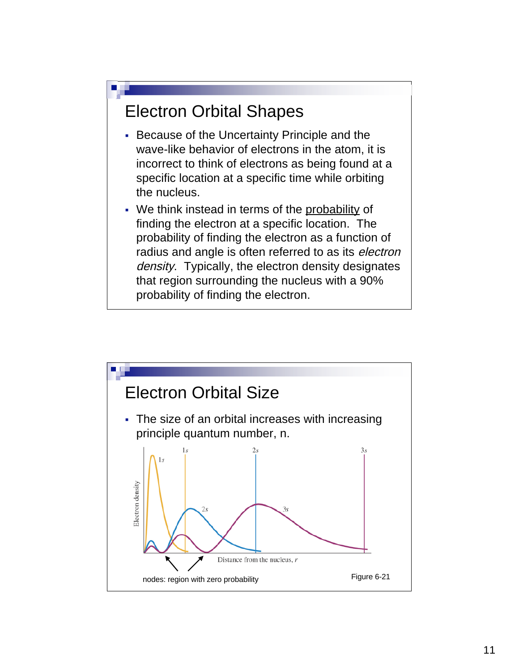### Electron Orbital Shapes

- Because of the Uncertainty Principle and the wave-like behavior of electrons in the atom, it is incorrect to think of electrons as being found at a specific location at a specific time while orbiting the nucleus.
- We think instead in terms of the probability of finding the electron at a specific location. The probability of finding the electron as a function of radius and angle is often referred to as its *electron* density. Typically, the electron density designates that region surrounding the nucleus with a 90% probability of finding the electron.

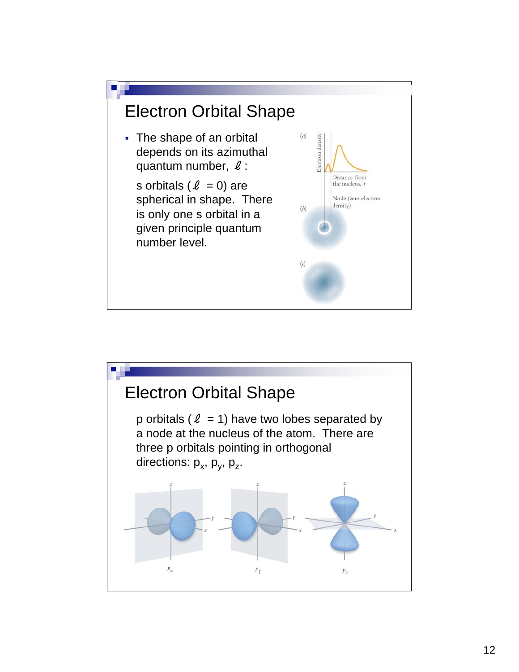

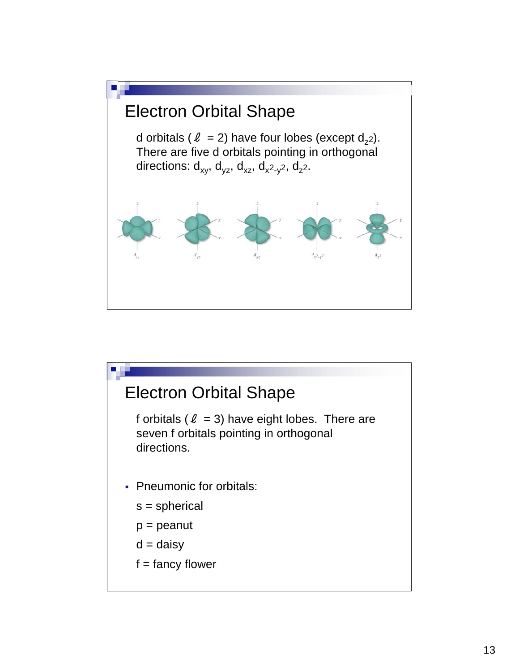

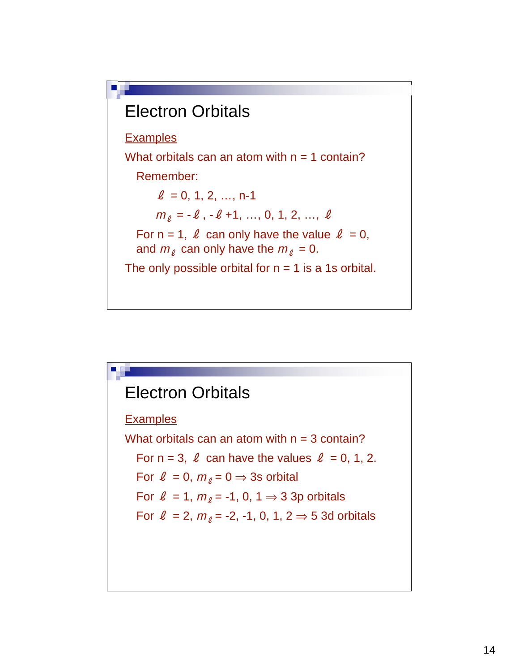

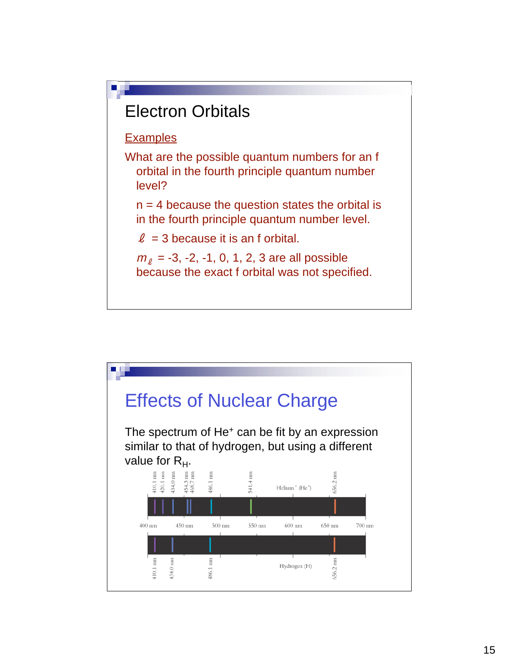

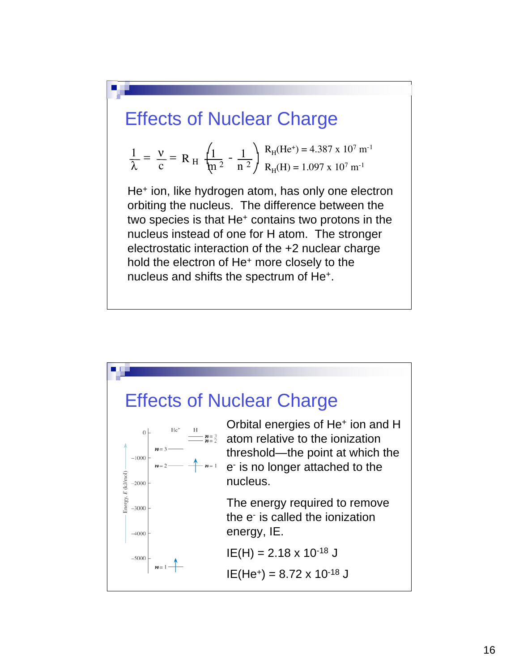## Effects of Nuclear Charge

$$
\frac{1}{\lambda} = \frac{v}{c} = R_H \frac{\left(1}{\mu^2} - \frac{1}{n^2}\right) \frac{R_H (He^+) = 4.387 \times 10^7 \text{ m}^{-1}}{R_H (H) = 1.097 \times 10^7 \text{ m}^{-1}}
$$

hold the electron of He<sup>+</sup> more closely to the nucleus instead of one for it atom. The stronger<br>electrostatic interaction of the +2 nuclear charge two species is that He+ contains two protons in the He<sup>+</sup> ion, like hydrogen atom, has only one electron orbiting the nucleus. The difference between the nucleus instead of one for H atom. The stronger nucleus and shifts the spectrum of He+.

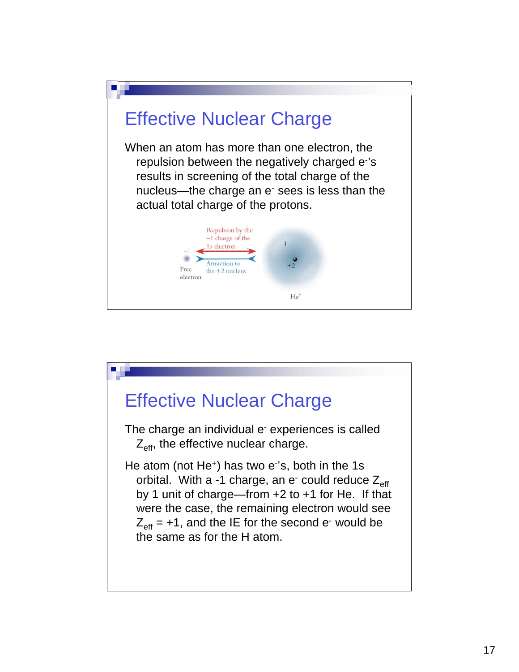

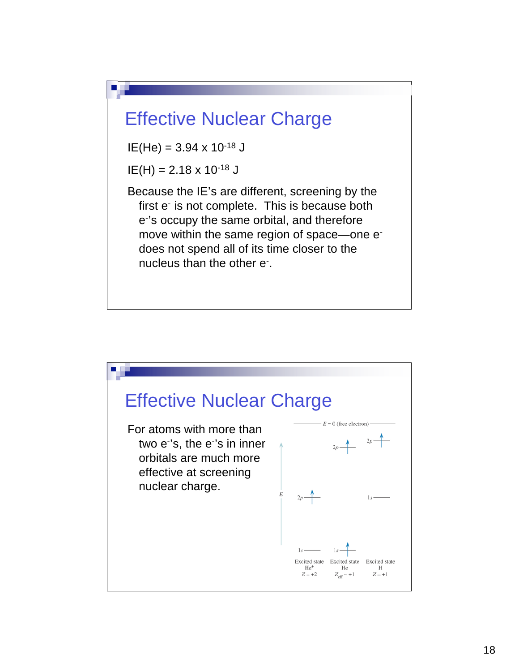

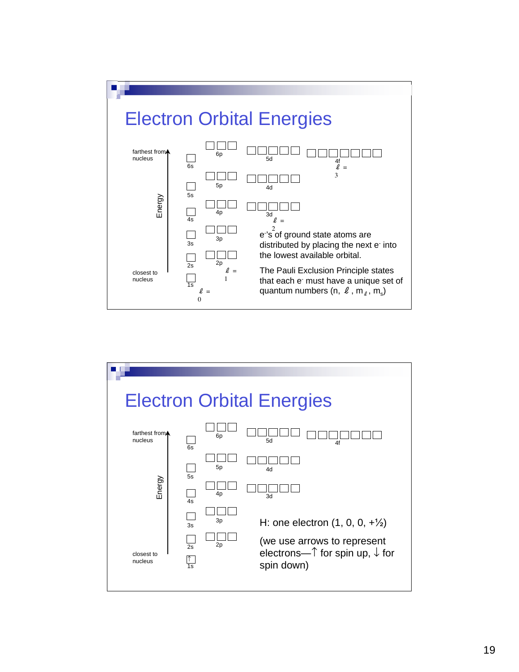

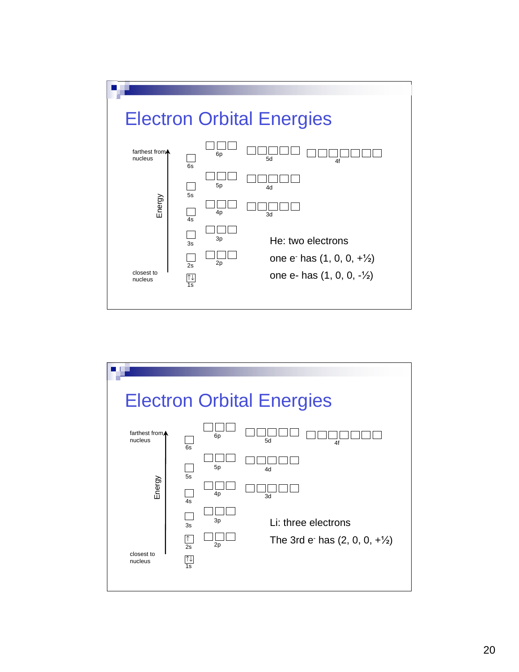

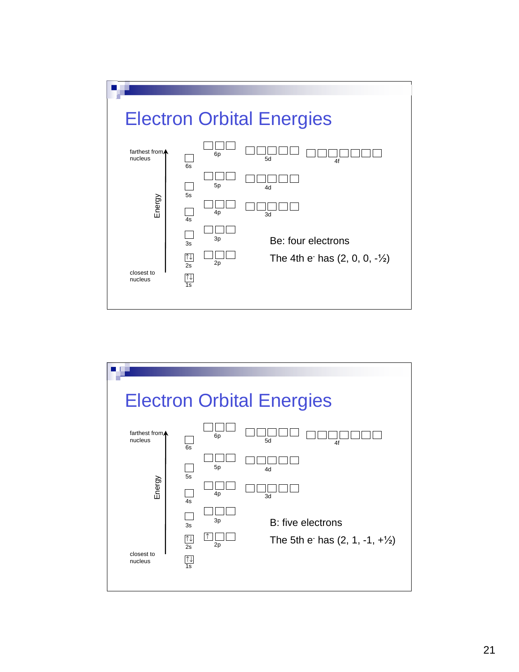

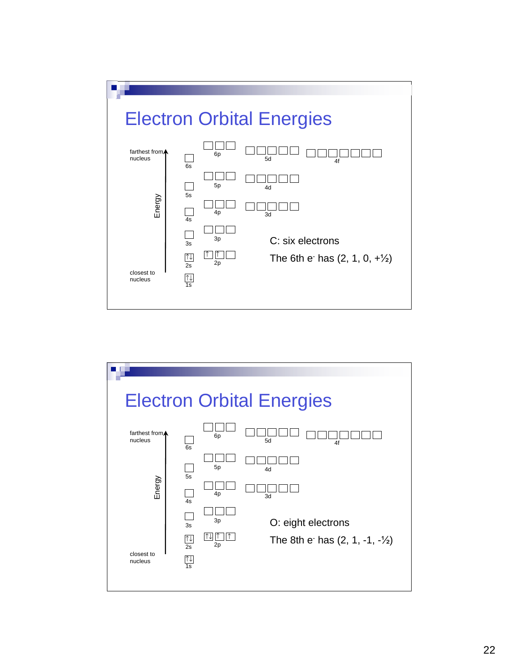

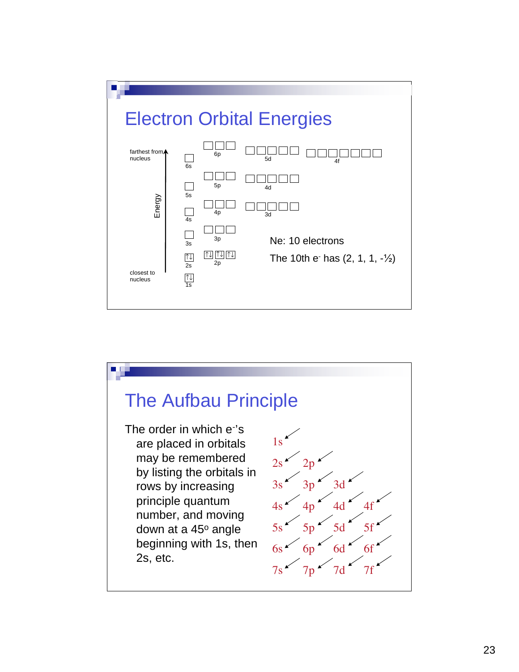

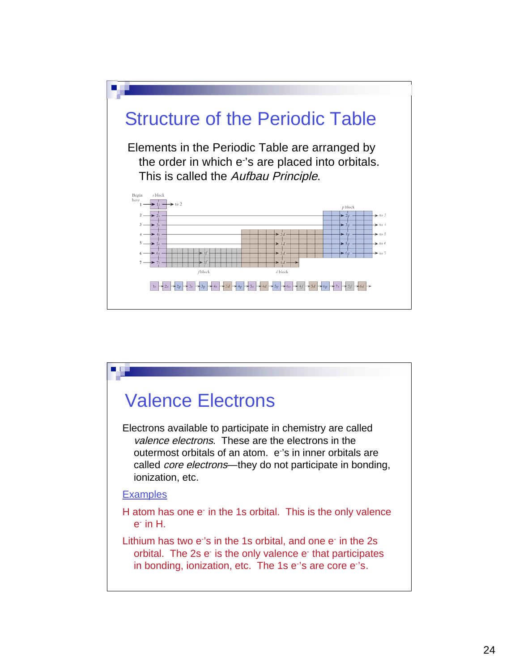

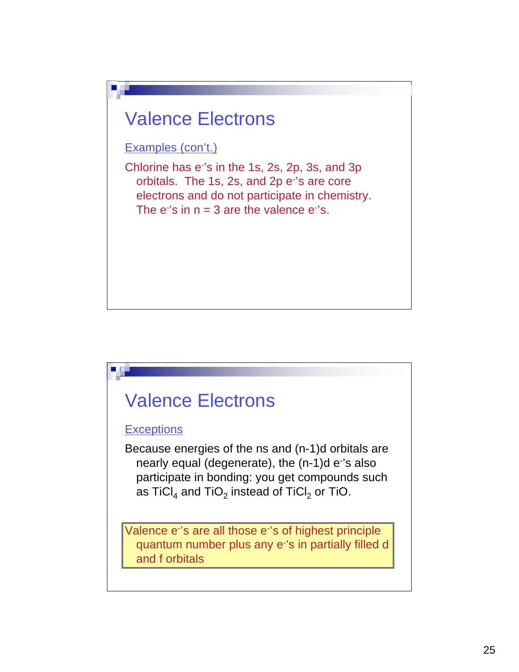

# Valence Electrons

#### **Exceptions**

Because energies of the ns and (n-1)d orbitals are nearly equal (degenerate), the (n-1)d e's also participate in bonding: you get compounds such as TiCl<sub>4</sub> and TiO<sub>2</sub> instead of TiCl<sub>2</sub> or TiO.

Valence e's are all those e's of highest principle quantum number plus any e- 's in partially filled d and f orbitals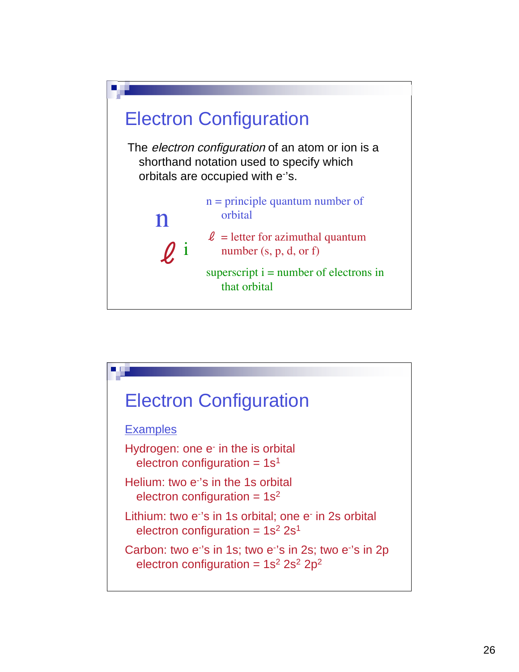

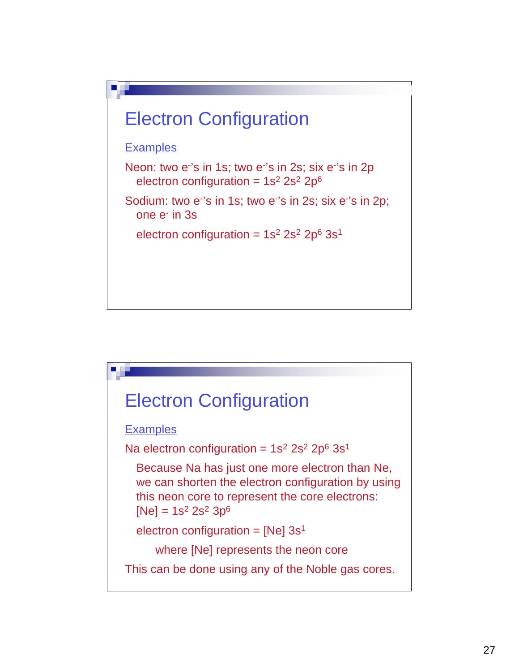

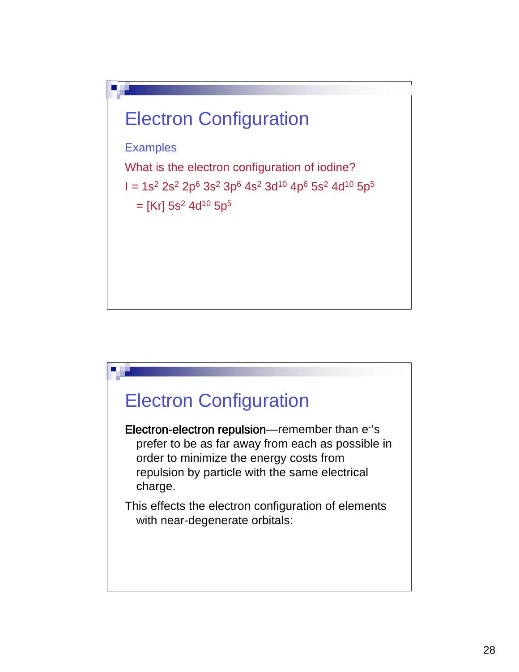

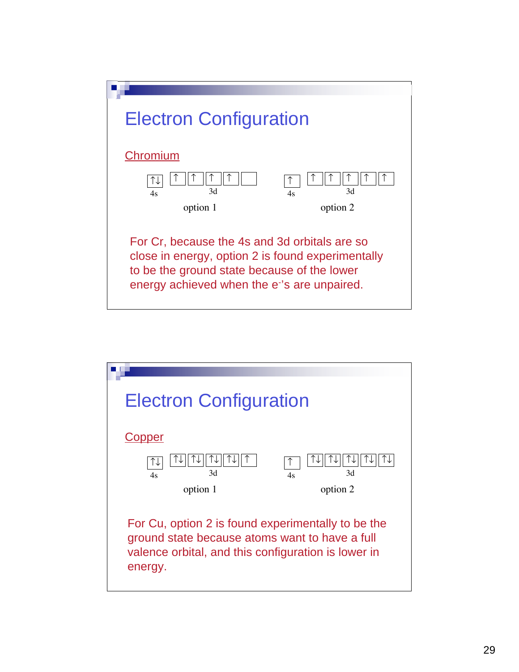

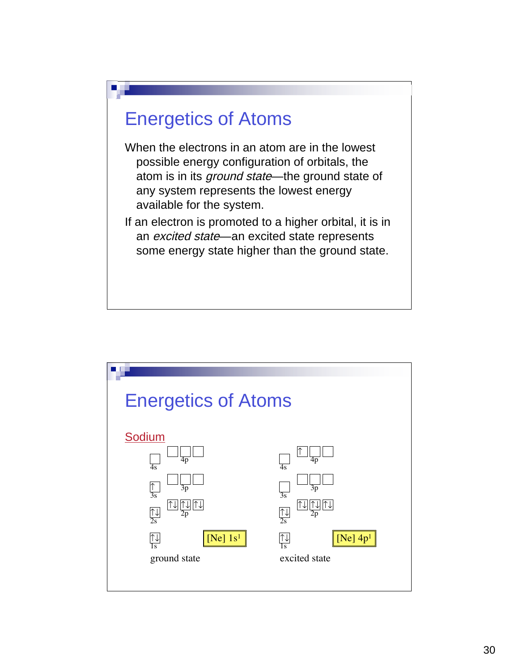

- When the electrons in an atom are in the lowest possible energy configuration of orbitals, the atom is in its *ground state*—the ground state of any system represents the lowest energy available for the system.
- If an electron is promoted to a higher orbital, it is in an *excited state*—an excited state represents some energy state higher than the ground state.

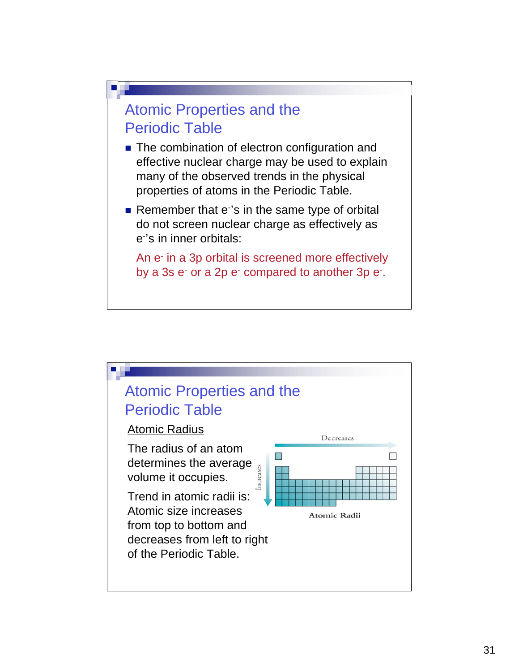

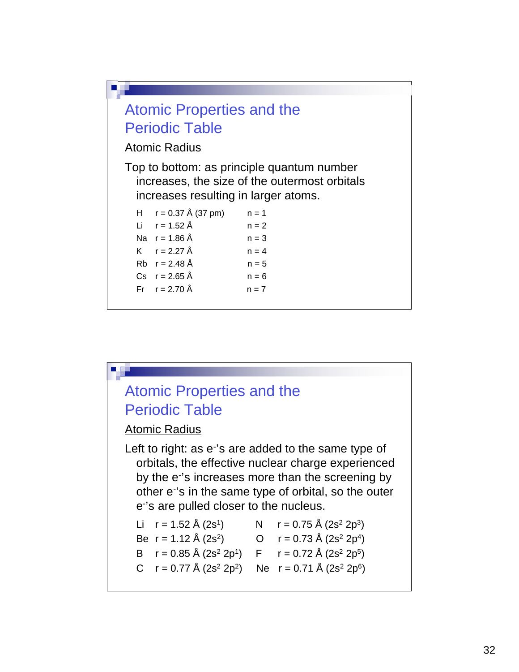

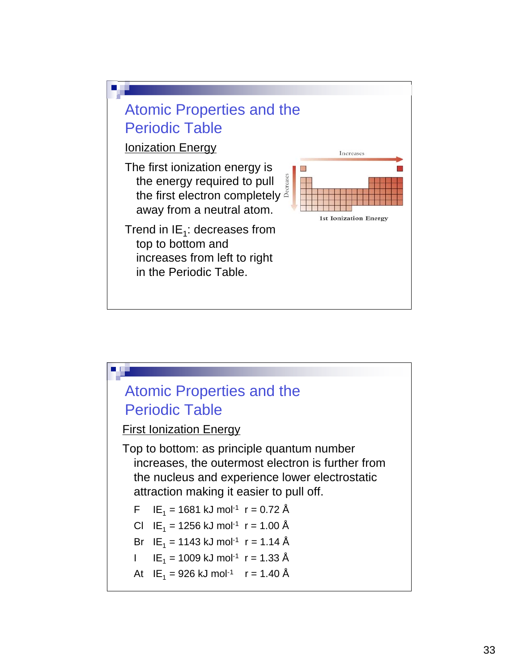

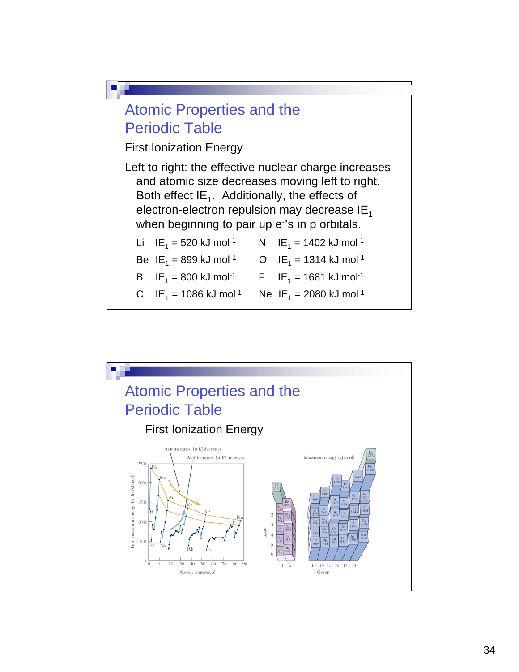

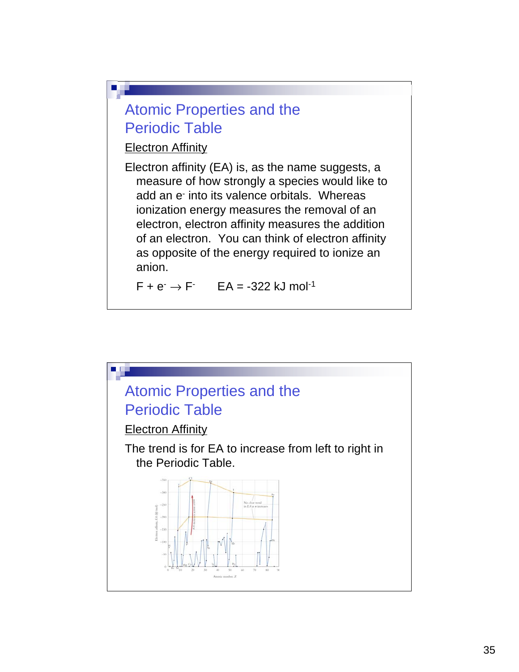